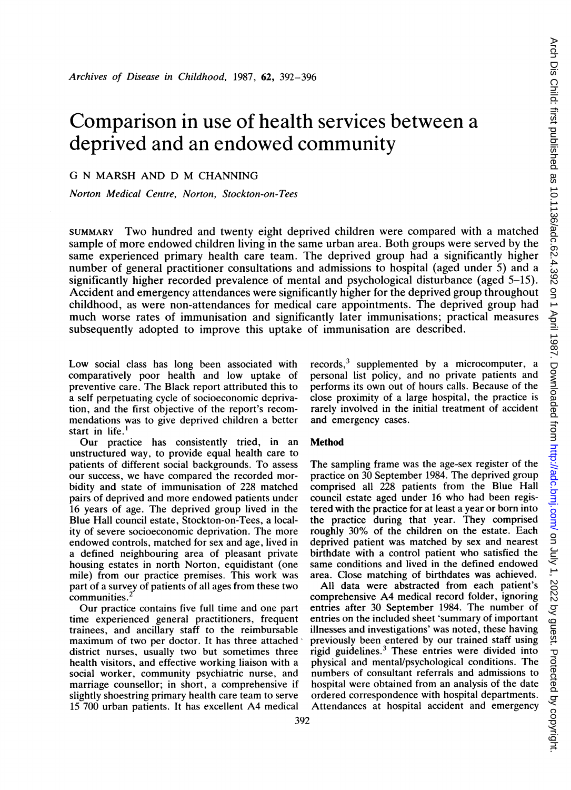# Comparison in use of health services between a deprived and an endowed community

# G N MARSH AND D M CHANNING

Norton Medical Centre, Norton, Stockton-on-Tees

SUMMARY Two hundred and twenty eight deprived children were compared with <sup>a</sup> matched sample of more endowed children living in the same urban area. Both groups were served by the same experienced primary health care team. The deprived group had a significantly higher number of general practitioner consultations and admissions to hospital (aged under 5) and a significantly higher recorded prevalence of mental and psychological disturbance (aged 5-15). Accident and emergency attendances were significantly higher for the deprived group throughout childhood, as were non-attendances for medical care appointments. The deprived group had much worse rates of immunisation and significantly later immunisations; practical measures subsequently adopted to improve this uptake of immunisation are described.

Low social class has long been associated with comparatively poor health and low uptake of preventive care. The Black report attributed this to a self perpetuating cycle of socioeconomic deprivation, and the first objective of the report's recommendations was to give deprived children a better start in life.<sup>1</sup>

Our practice has consistently tried, in an unstructured way, to provide equal health care to patients of different social backgrounds. To assess our success, we have compared the recorded morbidity and state of immunisation of 228 matched pairs of deprived and more endowed patients under 16 years of age. The deprived group lived in the Blue Hall council estate, Stockton-on-Tees, a locality of severe socioeconomic deprivation. The more endowed controls, matched for sex and age, lived in a defined neighbouring area of pleasant private housing estates in north Norton, equidistant (one mile) from our practice premises. This work was part of a survey of patients of all ages from these two communities.

Our practice contains five full time and one part time experienced general practitioners, frequent trainees, and ancillary staff to the reimbursable maximum of two per doctor. It has three attached district nurses, usually two but sometimes three health visitors, and effective working liaison with a social worker, community psychiatric nurse, and marriage counsellor; in short, a comprehensive if slightly shoestring primary health care team to serve <sup>15</sup> 700 urban patients. It has excellent A4 medical records,3 supplemented by a microcomputer, a personal list policy, and no private patients and performs its own out of hours calls. Because of the close proximity of a large hospital, the practice is rarely involved in the initial treatment of accident and emergency cases.

#### Method

The sampling frame was the age-sex register of the practice on 30 September 1984. The deprived group comprised all 228 patients from the Blue Hall council estate aged under 16 who had been registered with the practice for at least a year or born into the practice during that year. They comprised roughly 30% of the children on the estate. Each deprived patient was matched by sex and nearest birthdate with a control patient who satisfied the same conditions and lived in the defined endowed area. Close matching of birthdates was achieved.

All data were abstracted from each patient's comprehensive A4 medical record folder, ignoring entries after 30 September 1984. The number of entries on the included sheet 'summary of important illnesses and investigations' was noted, these having previously been entered by our trained staff using rigid guidelines.3 These entries were divided into physical and mental/psychological conditions. The numbers of consultant referrals and admissions to hospital were obtained from an analysis of the date ordered correspondence with hospital departments. Attendances at hospital accident and emergency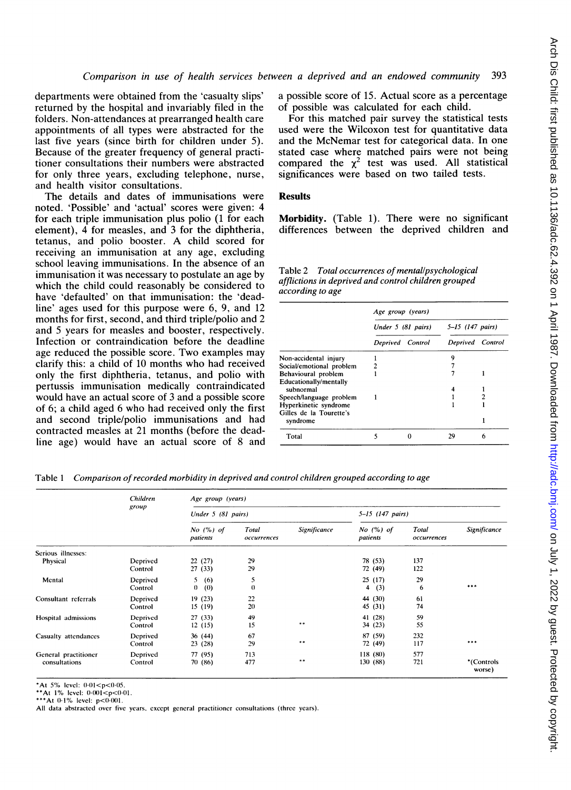departments were obtained from the 'casualty slips' returned by the hospital and invariably filed in the folders. Non-attendances at prearranged health care appointments of all types were abstracted for the last five years (since birth for children under 5). Because of the greater frequency of general practitioner consultations their numbers were abstracted for only three years, excluding telephone, nurse, and health visitor consultations.

The details and dates of immunisations were noted. 'Possible' and 'actual' scores were given: 4 for each triple immunisation plus polio (1 for each element), 4 for measles, and 3 for the diphtheria, tetanus, and polio booster. A child scored for receiving an immunisation at any age, excluding school leaving immunisations. In the absence of an immunisation it was necessary to postulate an age by which the child could reasonably be considered to have 'defaulted' on that immunisation: the 'deadline' ages used for this purpose were 6, 9, and 12 months for first, second, and third triple/polio and 2 and 5 years for measles and booster, respectively. Infection or contraindication before the deadline age reduced the possible score. Two examples may clarify this: a child of 10 months who had received only the first diphtheria, tetanus, and polio with pertussis immunisation medically contraindicated would have an actual score of 3 and a possible score of 6; a child aged 6 who had received only the first and second triple/polio immunisations and had contracted measles at 21 months (before the deadline age) would have an actual score of 8 and a possible score of 15. Actual score as a percentage of possible was calculated for each child.

For this matched pair survey the statistical tests used were the Wilcoxon test for quantitative data and the McNemar test for categorical data. In one stated case where matched pairs were not being compared the  $\chi^2$  test was used. All statistical significances were based on two tailed tests.

## **Results**

Morbidity. (Table 1). There were no significant differences between the deprived children and

|                  | Table 2 Total occurrences of mental/psychological    |
|------------------|------------------------------------------------------|
|                  | afflictions in deprived and control children grouped |
| according to age |                                                      |

|                                     | Age group (years) |                    |                      |    |
|-------------------------------------|-------------------|--------------------|----------------------|----|
|                                     |                   | Under 5 (81 pairs) | $5 - 15$ (147 pairs) |    |
|                                     |                   | Deprived Control   | Deprived Control     |    |
| Non-accidental injury               |                   |                    | Q                    |    |
| Social/emotional problem            |                   |                    |                      |    |
| Behavioural problem                 |                   |                    |                      |    |
| Educationally/mentally              |                   |                    |                      |    |
| subnormal                           |                   |                    |                      |    |
| Speech/language problem             |                   |                    |                      |    |
| Hyperkinetic syndrome               |                   |                    |                      |    |
| Gilles de la Tourette's<br>syndrome |                   |                    |                      |    |
| Total                               |                   |                    | 29                   | 'n |

Table <sup>1</sup> Comparison of recorded morbidity in deprived and control children grouped according to age

|                      | Children | Age group (years)         |                      |                     |                         |                      |                      |  |
|----------------------|----------|---------------------------|----------------------|---------------------|-------------------------|----------------------|----------------------|--|
|                      | group    | Under 5 (81 pairs)        |                      |                     | $5 - 15$ (147 pairs)    |                      |                      |  |
|                      |          | $No$ $(%)$ of<br>patients | Total<br>occurrences | <b>Significance</b> | No $(%)$ of<br>patients | Total<br>occurrences | <b>Significance</b>  |  |
| Serious illnesses:   |          |                           |                      |                     |                         |                      |                      |  |
| <b>Physical</b>      | Deprived | 22(27)                    | 29                   |                     | 78 (53)                 | 137                  |                      |  |
|                      | Control  | 27(33)                    | 29                   |                     | 72 (49)                 | 122                  |                      |  |
| Mental               | Deprived | 5<br>(6)                  | 5                    |                     | 25(17)                  | 29                   |                      |  |
|                      | Control  | $\theta$<br>(0)           | $\theta$             |                     | $\overline{4}$<br>(3)   | 6                    | ***                  |  |
| Consultant referrals | Deprived | 19(23)                    | 22                   |                     | 44 (30)                 | 61                   |                      |  |
|                      | Control  | 15(19)                    | 20                   |                     | 45 (31)                 | 74                   |                      |  |
| Hospital admissions  | Deprived | 27(33)                    | 49                   |                     | 41 (28)                 | 59                   |                      |  |
|                      | Control  | 12(15)                    | 15                   | $***$               | 34 (23)                 | 55                   |                      |  |
| Casualty attendances | Deprived | 36(44)                    | 67                   |                     | 87 (59)                 | 232                  |                      |  |
|                      | Control  | 23(28)                    | 29                   | $* *$               | 72 (49)                 | 117                  | ***                  |  |
| General practitioner | Deprived | 77 (95)                   | 713                  |                     | 118(80)                 | 577                  |                      |  |
| consultations        | Control  | 70 (86)                   | 477                  | **                  | 130 (88)                | 721                  | *(Controls<br>worse) |  |

\*At 5% level:  $0.01 < p < 0.05$ .

\*\*At  $1\%$  level:  $0.001 < p < 0.01$ .

\*\*\*At  $0.1\%$  level:  $p < 0.001$ .

All data abstracted over five years, except general practitioner consultations (three years).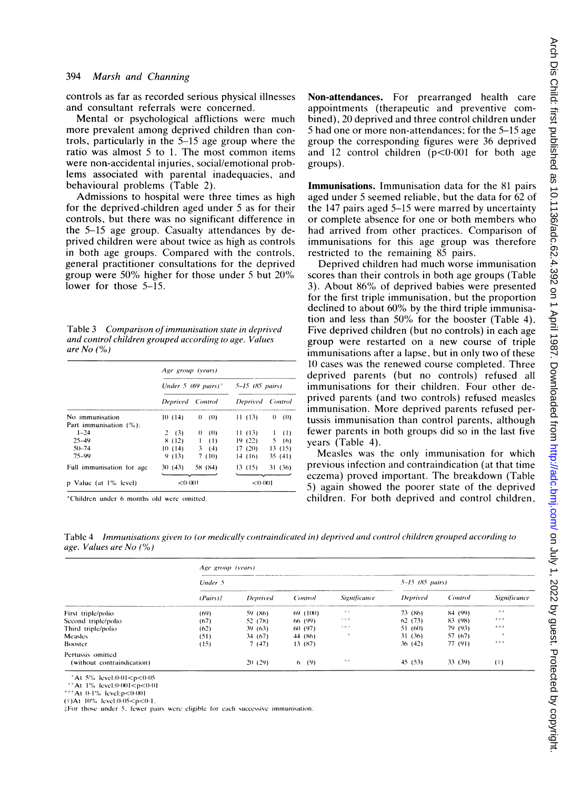controls as far as recorded serious physical illnesses and consultant referrals were concerned.

Mental or psychological afflictions were much more prevalent among deprived children than controls, particularly in the 5-15 age group where the ratio was almost <sup>5</sup> to 1. The most common items were non-accidental injuries, social/emotional problems associated with parental inadequacies, and behavioural problems (Table 2).

Admissions to hospital were three times as high for the deprived-children aged under 5 as for their controls, but there was no significant difference in the 5-15 age group. Casualty attendances by deprived children were about twice as high as controls in both age groups. Compared with the controls, general practitioner consultations for the deprived group were 50% higher for those under <sup>5</sup> but 20% lower for those 5-15.

Table 3 Comparison of immunisation state in deprived and control children grouped according to age. Values are  $No$  (%)

|                                           | Age group (years) |                                 |                     |         |  |
|-------------------------------------------|-------------------|---------------------------------|---------------------|---------|--|
|                                           |                   | Under 5 (69 pairs) <sup>*</sup> | $5 - 15$ (85 pairs) |         |  |
|                                           | Deprived Control  |                                 | Deprived Control    |         |  |
| No immunisation<br>Part immunisation (%): | 10(14)            | $0 \quad (0)$                   | 11(13)              | 0 (0)   |  |
| $1 - 24$                                  | 2(3)              | $0 \quad (0)$                   | 11(13)              | 1(1)    |  |
| $25 - 49$                                 | 8(12)             | $\mathbf{1}$<br>(1)             | 19(22)              | 5(6)    |  |
| $50 - 74$                                 | 10(14)            | 3(4)                            | 17(20)              | 13(15)  |  |
| 75-99                                     | 9(13)             | 7 (10)                          | 14 (16)             | 35(41)  |  |
| Full immunisation for age                 | 30(43)            | 58 (84)                         | 13(15)              | 31 (36) |  |
| p Value (at 1% level)                     | < ( ) ( ) ( ) 1   |                                 | < 0.001             |         |  |

\*Childrcn undcr 6 months old wcrc omitted

Non-attendances. For prearranged health care appointments (therapeutic and preventive combined), 20 deprived and three control children under 5 had one or more non-attendances; for the 5-15 age group the corresponding figures were 36 deprived and 12 control children  $(p<0.001$  for both age groups).

Immunisations. Immunisation data for the 81 pairs aged under 5 seemed reliable, but the data for 62 of the 147 pairs aged 5-15 were marred by uncertainty or complete absence for one or both members who had arrived from other practices. Comparison of immunisations for this age group was therefore restricted to the remaining 85 pairs.

Deprived children had much worse immunisation scores than their controls in both age groups (Table 3). About 86% of deprived babies were presented for the first triple immunisation, but the proportion declined to about 60% by the third triple immunisation and less than 50% for the booster (Table 4). Five deprived children (but no controls) in each age group were restarted on a new course of triple immunisations after a lapse, but in only two of these 10 cases was the renewed course completed. Three deprived parents (but no controls) refused all immunisations for their children. Four other deprived parents (and two controls) refused measles immunisation. More deprived parents refused pertussis immunisation than control parents, although fewer parents in both groups did so in the last five years (Table 4).

Measles was the only immunisation for which previous infection and contraindication (at that time eczema) proved important. The breakdown (Table 5) again showed the poorer state of the deprived children. For both deprived and control children,

Table 4 Immunisations given to (or medically contraindicated in) deprived and control children grouped according to age. Values are No  $(%)$ 

|                            | Age group (years) |          |          |                     |                             |         |                     |
|----------------------------|-------------------|----------|----------|---------------------|-----------------------------|---------|---------------------|
|                            | Under 5           |          |          |                     | $5 - 15$ (85 <i>pairs</i> ) |         |                     |
|                            | $(Pairs)$ #       | Deprived | Control  | <b>Significance</b> | Deprived                    | Control | <b>Significance</b> |
| First triple/polio         | (69)              | 59 (86)  | 69 (100) | 老老                  | 73 (86)                     | 84 (99) | 中市                  |
| Second triple/polio        | (67)              | 52 (78)  | 66 (99)  | 京京京                 | 62(73)                      | 83 (98) | 老年市                 |
| Third triple/polio         | (62)              | 39(63)   | 60 (97)  | $z \pm z$           | 51(60)                      | 79 (93) | 老老老                 |
| Measles                    | (51)              | 34 (67)  | 44 (86)  | $\,$                | 31(36)                      | 57 (67) | 味                   |
| Booster                    | (15)              | 7(47)    | 13 (87)  |                     | 36(42)                      | 77 (91) | 本本市                 |
| Pertussis omitted          |                   |          |          |                     |                             |         |                     |
| (without contraindication) |                   | 20(29)   | (9)<br>6 | 老老                  | 45(53)                      | 33 (39) | (†)                 |

At  $5\%$  level: $0.01 < p < 0.05$ 

\*\* At  $1\%$  level:  $0.001 < p < 0.01$ 

\*\*\* $At 0.1\%$  level: $p<0.001$ 

(†)At 10% level:0-05<p<0-1

 $\frac{1}{4}$ For those under 5, fewer pairs were eligible for each successive immunisation.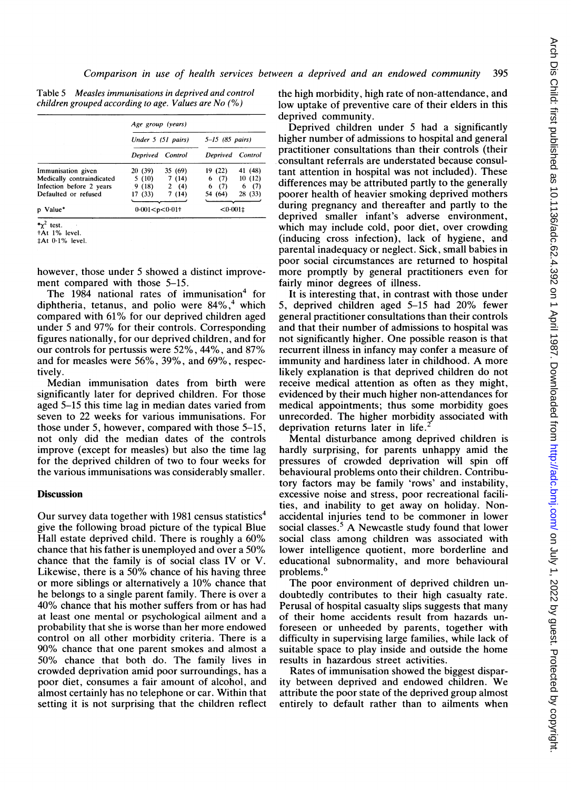| Table 5 | Measles immunisations in deprived and control           |  |
|---------|---------------------------------------------------------|--|
|         | children grouped according to age. Values are No $(\%)$ |  |

|                           | Age group (years)    |         |                     |         |  |
|---------------------------|----------------------|---------|---------------------|---------|--|
|                           | Under 5 (51 pairs)   |         | $5 - 15$ (85 pairs) |         |  |
|                           | Deprived Control     |         | Deprived Control    |         |  |
| Immunisation given        | 20 (39)              | 35 (69) | 19 (22)             | 41 (48) |  |
| Medically contraindicated | 5 (10)               | 7(14)   | 6(7)                | 10(12)  |  |
| Infection before 2 years  | 9(18)                | 2(4)    | 6(7)                | 6(7)    |  |
| Defaulted or refused      | 17 (33)              | 7(14)   | 54 (64)             | 28 (33) |  |
|                           |                      |         |                     |         |  |
| p Value*                  | $0.001 < p < 0.01$ † |         | $< 0.001$ ‡         |         |  |

 $\star \chi^2$  test.

tAt 1% level.

tAt 01% level.

however, those under 5 showed a distinct improvement compared with those 5-15.

The 1984 national rates of immunisation<sup>4</sup> for diphtheria, tetanus, and polio were  $84\%$ ,<sup>4</sup> which compared with 61% for our deprived children aged under <sup>5</sup> and 97% for their controls. Corresponding figures nationally, for our deprived children, and for our controls for pertussis were 52%, 44%, and 87% and for measles were 56%, 39%, and 69%, respectively.

Median immunisation dates from birth were significantly later for deprived children. For those aged 5-15 this time lag in median dates varied from seven to 22 weeks for various immunisations. For those under 5, however, compared with those 5-15, not only did the median dates of the controls improve (except for measles) but also the time lag for the deprived children of two to four weeks for the various immunisations was considerably smaller.

### **Discussion**

Our survey data together with 1981 census statistics<sup>4</sup> give the following broad picture of the typical Blue Hall estate deprived child. There is roughly a 60% chance that his father is unemployed and over <sup>a</sup> 50% chance that the family is of social class IV or V. Likewise, there is a 50% chance of his having three or more siblings or alternatively a 10% chance that he belongs to a single parent family. There is over a 40% chance that his mother suffers from or has had at least one mental or psychological ailment and a probability that she is worse than her more endowed control on all other morbidity criteria. There is a 90% chance that one parent smokes and almost <sup>a</sup> 50% chance that both do. The family lives in crowded deprivation amid poor surroundings, has a poor diet, consumes a fair amount of alcohol, and almost certainly has no telephone or car. Within that setting it is not surprising that the children reflect the high morbidity, high rate of non-attendance, and low uptake of preventive care of their elders in this deprived community.

Deprived children under 5 had a significantly higher number of admissions to hospital and general practitioner consultations than their controls (their consultant referrals are understated because consultant attention in hospital was not included). These differences may be attributed partly to the generally poorer health of heavier smoking deprived mothers during pregnancy and thereafter and partly to the deprived smaller infant's adverse environment, which may include cold, poor diet, over crowding (inducing cross infection), lack of hygiene, and parental inadequacy or neglect. Sick, small babies in poor social circumstances are returned to hospital more promptly by general practitioners even for fairly minor degrees of illness.

It is interesting that, in contrast with those under 5, deprived children aged 5-15 had 20% fewer general practitioner consultations than their controls and that their number of admissions to hospital was not significantly higher. One possible reason is that recurrent illness in infancy may confer a measure of immunity and hardiness later in childhood. A more likely explanation is that deprived children do not receive medical attention as often as they might, evidenced by their much higher non-attendances for medical appointments; thus some morbidity goes unrecorded. The higher morbidity associated with deprivation returns later in life.

Mental disturbance among deprived children is hardly surprising, for parents unhappy amid the pressures of crowded deprivation will spin off behavioural problems onto their children. Contributory factors may be family 'rows' and instability, excessive noise and stress, poor recreational facilities, and inability to get away on holiday. Nonaccidental injuries tend to be commoner in lower social classes. $5$  A Newcastle study found that lower social class among children was associated with lower intelligence quotient, more borderline and educational subnormality, and more behavioural problems.<sup>6</sup>

The poor environment of deprived children undoubtedly contributes to their high casualty rate. Perusal of hospital casualty slips suggests that many of their home accidents result from hazards unforeseen or unheeded by parents, together with difficulty in supervising large families, while lack of suitable space to play inside and outside the home results in hazardous street activities.

Rates of immunisation showed the biggest disparity between deprived and endowed children. We attribute the poor state of the deprived group almost entirely to default rather than to ailments when